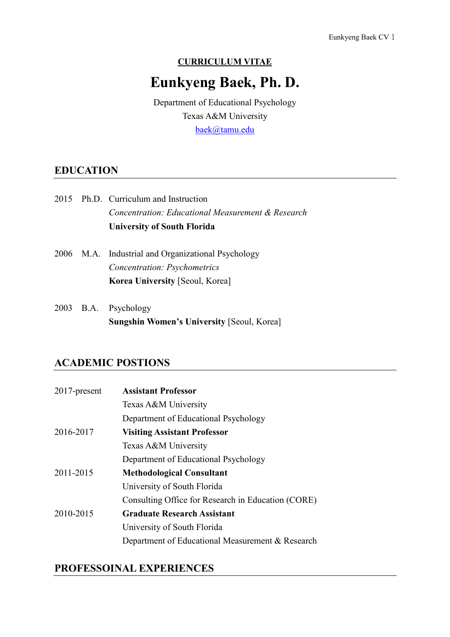#### **CURRICULUM VITAE**

# **Eunkyeng Baek, Ph. D.**

Department of Educational Psychology Texas A&M University [baek@tamu.edu](mailto:baek@tamu.edu)

### **EDUCATION**

|  | <b>University of South Florida</b>                |  |
|--|---------------------------------------------------|--|
|  | Concentration: Educational Measurement & Research |  |
|  | 2015 Ph.D. Curriculum and Instruction             |  |

- 2006 M.A. Industrial and Organizational Psychology *Concentration: Psychometrics*  **Korea University** [Seoul, Korea]
- 2003 B.A. Psychology **Sungshin Women's University** [Seoul, Korea]

### **ACADEMIC POSTIONS**

| $2017$ -present | <b>Assistant Professor</b>                         |
|-----------------|----------------------------------------------------|
|                 | Texas A&M University                               |
|                 | Department of Educational Psychology               |
| 2016-2017       | <b>Visiting Assistant Professor</b>                |
|                 | Texas A&M University                               |
|                 | Department of Educational Psychology               |
| 2011-2015       | <b>Methodological Consultant</b>                   |
|                 | University of South Florida                        |
|                 | Consulting Office for Research in Education (CORE) |
| 2010-2015       | <b>Graduate Research Assistant</b>                 |
|                 | University of South Florida                        |
|                 | Department of Educational Measurement & Research   |

# **PROFESSOINAL EXPERIENCES**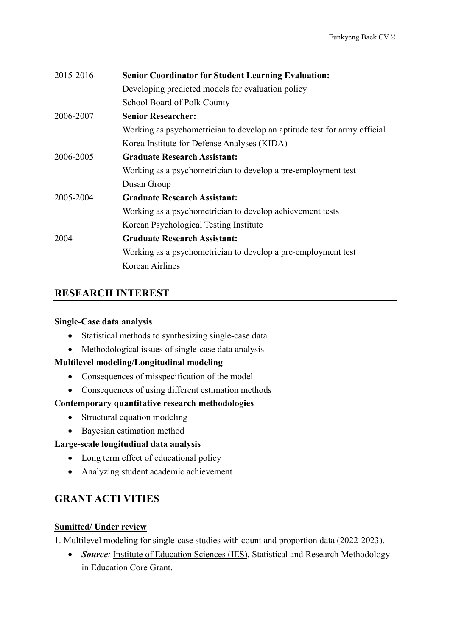| 2015-2016 | <b>Senior Coordinator for Student Learning Evaluation:</b>               |
|-----------|--------------------------------------------------------------------------|
|           | Developing predicted models for evaluation policy                        |
|           | School Board of Polk County                                              |
| 2006-2007 | <b>Senior Researcher:</b>                                                |
|           | Working as psychometrician to develop an aptitude test for army official |
|           | Korea Institute for Defense Analyses (KIDA)                              |
| 2006-2005 | <b>Graduate Research Assistant:</b>                                      |
|           | Working as a psychometrician to develop a pre-employment test            |
|           | Dusan Group                                                              |
| 2005-2004 | <b>Graduate Research Assistant:</b>                                      |
|           | Working as a psychometrician to develop achievement tests                |
|           | Korean Psychological Testing Institute                                   |
| 2004      | <b>Graduate Research Assistant:</b>                                      |
|           | Working as a psychometrician to develop a pre-employment test            |
|           | Korean Airlines                                                          |
|           |                                                                          |

# **RESEARCH INTEREST**

### **Single-Case data analysis**

- Statistical methods to synthesizing single-case data
- Methodological issues of single-case data analysis

### **Multilevel modeling/Longitudinal modeling**

- Consequences of misspecification of the model
- Consequences of using different estimation methods

### **Contemporary quantitative research methodologies**

- Structural equation modeling
- Bayesian estimation method

### **Large-scale longitudinal data analysis**

- Long term effect of educational policy
- Analyzing student academic achievement

### **GRANT ACTI VITIES**

### **Sumitted/ Under review**

1. Multilevel modeling for single-case studies with count and proportion data (2022-2023).

• *Source*: Institute of Education Sciences (IES), Statistical and Research Methodology in Education Core Grant.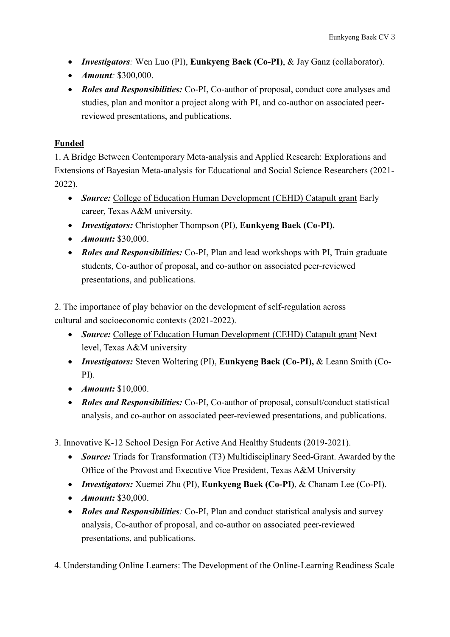- *Investigators:* Wen Luo (PI), **Eunkyeng Baek (Co-PI)**, & Jay Ganz (collaborator).
- *Amount:* \$300,000.
- *Roles and Responsibilities:* Co-PI, Co-author of proposal, conduct core analyses and studies, plan and monitor a project along with PI, and co-author on associated peerreviewed presentations, and publications.

### **Funded**

1. A Bridge Between Contemporary Meta-analysis and Applied Research: Explorations and Extensions of Bayesian Meta-analysis for Educational and Social Science Researchers (2021- 2022).

- *Source:* College of Education Human Development (CEHD) Catapult grant Early career, Texas A&M university.
- *Investigators:* Christopher Thompson (PI), **Eunkyeng Baek (Co-PI).**
- *Amount:* \$30,000.
- *Roles and Responsibilities:* Co-PI, Plan and lead workshops with PI, Train graduate students, Co-author of proposal, and co-author on associated peer-reviewed presentations, and publications.

2. The importance of play behavior on the development of self-regulation across cultural and socioeconomic contexts (2021-2022).

- *Source:* College of Education Human Development (CEHD) Catapult grant Next level, Texas A&M university
- *Investigators:* Steven Woltering (PI), **Eunkyeng Baek (Co-PI),** & Leann Smith (Co-PI).
- *Amount:* \$10,000.
- *Roles and Responsibilities:* Co-PI, Co-author of proposal, consult/conduct statistical analysis, and co-author on associated peer-reviewed presentations, and publications.

3. Innovative K-12 School Design For Active And Healthy Students (2019-2021).

- *Source:* Triads for Transformation (T3) Multidisciplinary Seed-Grant. Awarded by the Office of the Provost and Executive Vice President, Texas A&M University
- *Investigators:* Xuemei Zhu (PI), **Eunkyeng Baek (Co-PI)**, & Chanam Lee (Co-PI).
- *Amount:* \$30,000.
- *Roles and Responsibilities:* Co-PI, Plan and conduct statistical analysis and survey analysis, Co-author of proposal, and co-author on associated peer-reviewed presentations, and publications.

4. Understanding Online Learners: The Development of the Online-Learning Readiness Scale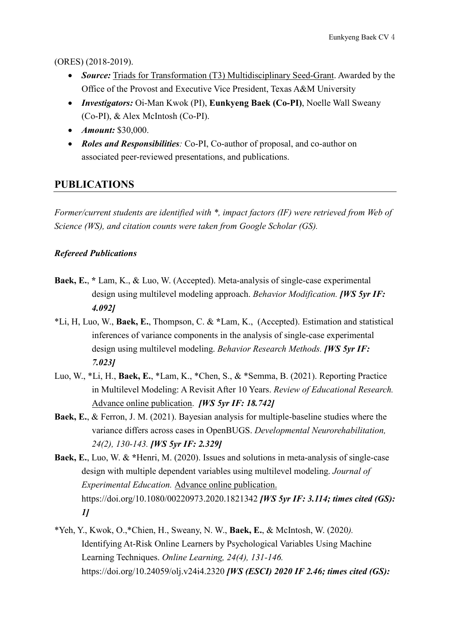(ORES) (2018-2019).

- *Source:* Triads for Transformation (T3) Multidisciplinary Seed-Grant. Awarded by the Office of the Provost and Executive Vice President, Texas A&M University
- *Investigators:* Oi-Man Kwok (PI), **Eunkyeng Baek (Co-PI)**, Noelle Wall Sweany (Co-PI), & Alex McIntosh (Co-PI).
- *Amount:* \$30,000.
- *Roles and Responsibilities:* Co-PI, Co-author of proposal, and co-author on associated peer-reviewed presentations, and publications.

# **PUBLICATIONS**

*Former/current students are identified with \*, impact factors (IF) were retrieved from Web of Science (WS), and citation counts were taken from Google Scholar (GS).*

### *Refereed Publications*

- **Baek, E.**, **\*** Lam, K., & Luo, W. (Accepted). Meta-analysis of single-case experimental design using multilevel modeling approach. *Behavior Modification. [WS 5yr IF: 4.092]*
- \*Li, H, Luo, W., **Baek, E.**, Thompson, C. & **\***Lam, K., (Accepted). Estimation and statistical inferences of variance components in the analysis of single-case experimental design using multilevel modeling. *Behavior Research Methods. [WS 5yr IF: 7.023]*
- Luo, W., \*Li, H., **Baek, E.**, \*Lam, K., \*Chen, S., & \*Semma, B. (2021). Reporting Practice in Multilevel Modeling: A Revisit After 10 Years. *Review of Educational Research.* Advance online publication. *[WS 5yr IF: 18.742]*
- **Baek, E.**, & Ferron, J. M. (2021). Bayesian analysis for multiple-baseline studies where the variance differs across cases in OpenBUGS. *Developmental Neurorehabilitation, 24(2), 130-143. [WS 5yr IF: 2.329]*
- **Baek, E.**, Luo, W. & **\***Henri, M. (2020). Issues and solutions in meta-analysis of single-case design with multiple dependent variables using multilevel modeling. *Journal of Experimental Education.* Advance online publication. https://doi.org/10.1080/00220973.2020.1821342 *[WS 5yr IF: 3.114; times cited (GS): 1]*
- \*Yeh, Y., Kwok, O.,\*Chien, H., Sweany, N. W., **Baek, E.**, & McIntosh, W. (2020*).*  Identifying At-Risk Online Learners by Psychological Variables Using Machine Learning Techniques. *Online Learning, 24(4), 131-146.*  https://doi.org/10.24059/olj.v24i4.2320 *[WS (ESCI) 2020 IF 2.46; times cited (GS):*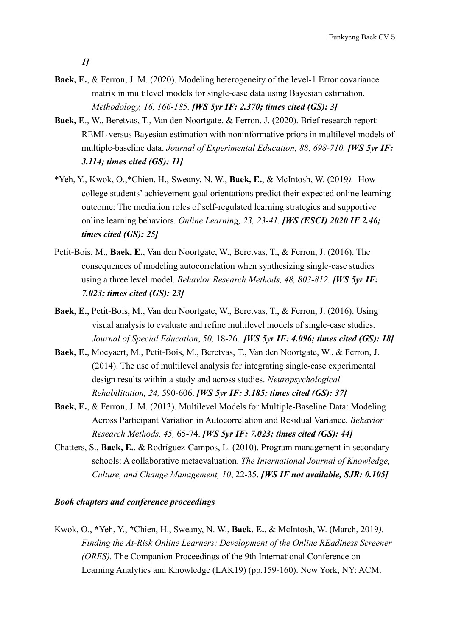*1]*

- **Baek, E.**, & Ferron, J. M. (2020). Modeling heterogeneity of the level-1 Error covariance matrix in multilevel models for single-case data using Bayesian estimation. *Methodology, 16, 166-185. [WS 5yr IF: 2.370; times cited (GS): 3]*
- **Baek, E**., W., Beretvas, T., Van den Noortgate, & Ferron, J. (2020). Brief research report: REML versus Bayesian estimation with noninformative priors in multilevel models of multiple-baseline data. *Journal of Experimental Education, 88, 698-710. [WS 5yr IF: 3.114; times cited (GS): 11]*
- \*Yeh, Y., Kwok, O.,\*Chien, H., Sweany, N. W., **Baek, E.**, & McIntosh, W. (2019*).* How college students' achievement goal orientations predict their expected online learning outcome: The mediation roles of self-regulated learning strategies and supportive online learning behaviors. *Online Learning, 23, 23-41. [WS (ESCI) 2020 IF 2.46; times cited (GS): 25]*
- Petit-Bois, M., **Baek, E.**, Van den Noortgate, W., Beretvas, T., & Ferron, J. (2016). The consequences of modeling autocorrelation when synthesizing single-case studies using a three level model. *Behavior Research Methods, 48, 803-812. [WS 5yr IF: 7.023; times cited (GS): 23]*
- **Baek, E.**, Petit-Bois, M., Van den Noortgate, W., Beretvas, T., & Ferron, J. (2016). Using visual analysis to evaluate and refine multilevel models of single-case studies. *Journal of Special Education*, *50,* 18-26. *[WS 5yr IF: 4.096; times cited (GS): 18]*
- **Baek, E.**, Moeyaert, M., Petit-Bois, M., Beretvas, T., Van den Noortgate, W., & Ferron, J. (2014). The use of multilevel analysis for integrating single-case experimental design results within a study and across studies. *Neuropsychological Rehabilitation, 24,* 590-606. *[WS 5yr IF: 3.185; times cited (GS): 37]*
- **Baek, E.**, & Ferron, J. M. (2013). Multilevel Models for Multiple-Baseline Data: Modeling Across Participant Variation in Autocorrelation and Residual Variance*. Behavior Research Methods. 45,* 65-74. *[WS 5yr IF: 7.023; times cited (GS): 44]*
- Chatters, S., **Baek, E.**, & Rodríguez-Campos, L. (2010). Program management in secondary schools: A collaborative metaevaluation. *The International Journal of Knowledge, Culture, and Change Management, 10*, 22-35. *[WS IF not available, SJR: 0.105]*

### *Book chapters and conference proceedings*

Kwok, O., **\***Yeh, Y., **\***Chien, H., Sweany, N. W., **Baek, E.**, & McIntosh, W. (March, 2019*). Finding the At-Risk Online Learners: Development of the Online REadiness Screener (ORES).* The Companion Proceedings of the 9th International Conference on Learning Analytics and Knowledge (LAK19) (pp.159-160). New York, NY: ACM.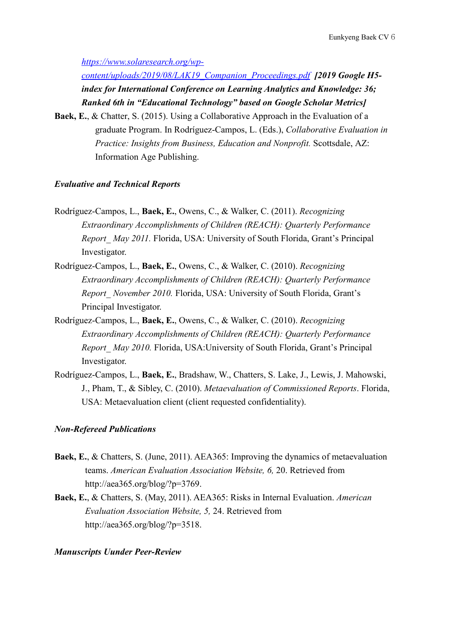*[https://www.solaresearch.org/wp-](https://www.solaresearch.org/wp-content/uploads/2019/08/LAK19_Companion_Proceedings.pdf)*

*[content/uploads/2019/08/LAK19\\_Companion\\_Proceedings.pdf](https://www.solaresearch.org/wp-content/uploads/2019/08/LAK19_Companion_Proceedings.pdf) [2019 Google H5 index for International Conference on Learning Analytics and Knowledge: 36; Ranked 6th in "Educational Technology" based on Google Scholar Metrics]* 

**Baek, E.**, & Chatter, S. (2015). Using a Collaborative Approach in the Evaluation of a graduate Program. In Rodríguez-Campos, L. (Eds.), *Collaborative Evaluation in Practice: Insights from Business, Education and Nonprofit.* Scottsdale, AZ: Information Age Publishing.

#### *Evaluative and Technical Reports*

- Rodríguez-Campos, L., **Baek, E.**, Owens, C., & Walker, C. (2011). *Recognizing Extraordinary Accomplishments of Children (REACH): Quarterly Performance Report\_ May 2011.* Florida, USA: University of South Florida, Grant's Principal Investigator.
- Rodríguez-Campos, L., **Baek, E.**, Owens, C., & Walker, C. (2010). *Recognizing Extraordinary Accomplishments of Children (REACH): Quarterly Performance Report\_ November 2010.* Florida, USA: University of South Florida, Grant's Principal Investigator.
- Rodríguez-Campos, L., **Baek, E.**, Owens, C., & Walker, C. (2010). *Recognizing Extraordinary Accomplishments of Children (REACH): Quarterly Performance Report\_ May 2010.* Florida, USA:University of South Florida, Grant's Principal Investigator.
- Rodríguez-Campos, L., **Baek, E.**, Bradshaw, W., Chatters, S. Lake, J., Lewis, J. Mahowski, J., Pham, T., & Sibley, C. (2010). *Metaevaluation of Commissioned Reports*. Florida, USA: Metaevaluation client (client requested confidentiality).

#### *Non-Refereed Publications*

- **Baek, E.**, & Chatters, S. (June, 2011). AEA365: Improving the dynamics of metaevaluation teams. *American Evaluation Association Website, 6,* 20. Retrieved from http://aea365.org/blog/?p=3769.
- **Baek, E.**, & Chatters, S. (May, 2011). AEA365: Risks in Internal Evaluation. *American Evaluation Association Website, 5,* 24. Retrieved from http://aea365.org/blog/?p=3518.

#### *Manuscripts Uunder Peer-Review*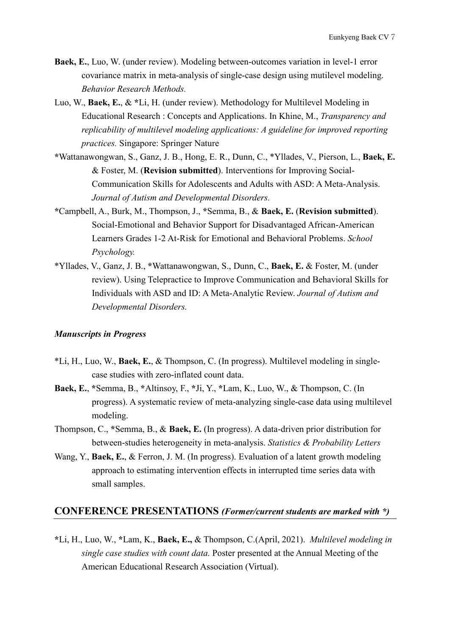- **Baek, E.**, Luo, W. (under review). Modeling between-outcomes variation in level-1 error covariance matrix in meta-analysis of single-case design using mutilevel modeling. *Behavior Research Methods.*
- Luo, W., **Baek, E.**, & **\***Li, H. (under review). Methodology for Multilevel Modeling in Educational Research : Concepts and Applications. In Khine, M., *Transparency and replicability of multilevel modeling applications: A guideline for improved reporting practices.* Singapore: Springer Nature
- **\***Wattanawongwan, S., Ganz, J. B., Hong, E. R., Dunn, C., \*Yllades, V., Pierson, L., **Baek, E.** & Foster, M. (**Revision submitted**). Interventions for Improving Social-Communication Skills for Adolescents and Adults with ASD: A Meta-Analysis. *Journal of Autism and Developmental Disorders.*
- **\***Campbell, A., Burk, M., Thompson, J., **\***Semma, B., & **Baek, E.** (**Revision submitted**). Social-Emotional and Behavior Support for Disadvantaged African-American Learners Grades 1-2 At-Risk for Emotional and Behavioral Problems. *School Psychology.*
- \*Yllades, V., Ganz, J. B., **\***Wattanawongwan, S., Dunn, C., **Baek, E.** & Foster, M. (under review). Using Telepractice to Improve Communication and Behavioral Skills for Individuals with ASD and ID: A Meta-Analytic Review. *Journal of Autism and Developmental Disorders.*

#### *Manuscripts in Progress*

- \*Li, H., Luo, W., **Baek, E.**, & Thompson, C. (In progress). Multilevel modeling in singlecase studies with zero-inflated count data.
- **Baek, E.**, **\***Semma, B., **\***Altinsoy, F., **\***Ji, Y., **\***Lam, K., Luo, W., & Thompson, C. (In progress). A systematic review of meta-analyzing single-case data using multilevel modeling.
- Thompson, C., **\***Semma, B., & **Baek, E.** (In progress). A data-driven prior distribution for between-studies heterogeneity in meta-analysis. *Statistics & Probability Letters*
- Wang, Y., **Baek, E.**, & Ferron, J. M. (In progress). Evaluation of a latent growth modeling approach to estimating intervention effects in interrupted time series data with small samples.

### **CONFERENCE PRESENTATIONS** *(Former/current students are marked with \*)*

**\***Li, H., Luo, W., **\***Lam, K., **Baek, E.,** & Thompson, C.(April, 2021). *Multilevel modeling in single case studies with count data.* Poster presented at the Annual Meeting of the American Educational Research Association (Virtual).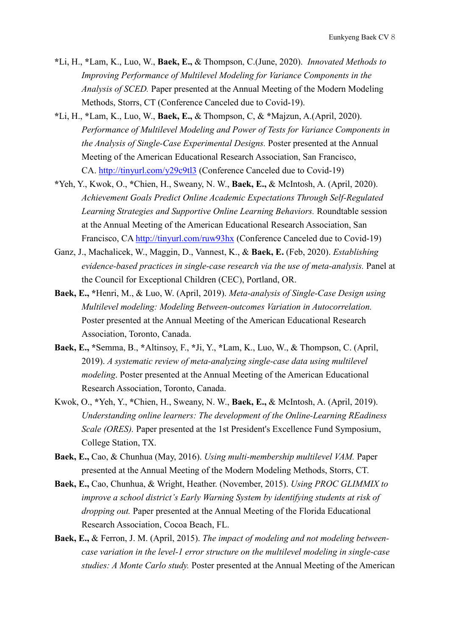- **\***Li, H., **\***Lam, K., Luo, W., **Baek, E.,** & Thompson, C.(June, 2020). *Innovated Methods to Improving Performance of Multilevel Modeling for Variance Components in the Analysis of SCED.* Paper presented at the Annual Meeting of the Modern Modeling Methods, Storrs, CT (Conference Canceled due to Covid-19).
- **\***Li, H., **\***Lam, K., Luo, W., **Baek, E.,** & Thompson, C, & **\***Majzun, A.(April, 2020). *Performance of Multilevel Modeling and Power of Tests for Variance Components in the Analysis of Single-Case Experimental Designs.* Poster presented at the Annual Meeting of the American Educational Research Association, San Francisco, CA. [http://tinyurl.com/y29c9tl3](https://urldefense.com/v3/__http:/tinyurl.com/y29c9tl3__;!!KwNVnqRv!XHXpFvqdFYcKyxsuy_ynmSB61JX6IwD9iSN1_8iKMvrtLFvmVf1iP5vlqSDgt4Q$) (Conference Canceled due to Covid-19)
- **\***Yeh, Y., Kwok, O., **\***Chien, H., Sweany, N. W., **Baek, E.,** & McIntosh, A. (April, 2020). *Achievement Goals Predict Online Academic Expectations Through Self-Regulated Learning Strategies and Supportive Online Learning Behaviors.* Roundtable session at the Annual Meeting of the American Educational Research Association, San Francisco, CA <http://tinyurl.com/ruw93hx> (Conference Canceled due to Covid-19)
- Ganz, J., Machalicek, W., Maggin, D., Vannest, K., & **Baek, E.** (Feb, 2020). *Establishing evidence-based practices in single-case research via the use of meta-analysis.* Panel at the Council for Exceptional Children (CEC), Portland, OR.
- **Baek, E., \***Henri, M., & Luo, W. (April, 2019). *Meta-analysis of Single-Case Design using Multilevel modeling: Modeling Between-outcomes Variation in Autocorrelation.*  Poster presented at the Annual Meeting of the American Educational Research Association, Toronto, Canada.
- **Baek, E., \***Semma, B., **\***Altinsoy, F., **\***Ji, Y., **\***Lam, K., Luo, W., & Thompson, C. (April, 2019). *A systematic review of meta-analyzing single-case data using multilevel modeling*. Poster presented at the Annual Meeting of the American Educational Research Association, Toronto, Canada.
- Kwok, O., **\***Yeh, Y., **\***Chien, H., Sweany, N. W., **Baek, E.,** & McIntosh, A. (April, 2019). *Understanding online learners: The development of the Online-Learning REadiness Scale (ORES)*. Paper presented at the 1st President's Excellence Fund Symposium, College Station, TX.
- **Baek, E.,** Cao, & Chunhua (May, 2016). *Using multi-membership multilevel VAM.* Paper presented at the Annual Meeting of the Modern Modeling Methods, Storrs, CT.
- **Baek, E.,** Cao, Chunhua, & Wright, Heather. (November, 2015). *Using PROC GLIMMIX to improve a school district's Early Warning System by identifying students at risk of dropping out.* Paper presented at the Annual Meeting of the Florida Educational Research Association, Cocoa Beach, FL.
- **Baek, E.,** & Ferron, J. M. (April, 2015). *The impact of modeling and not modeling betweencase variation in the level-1 error structure on the multilevel modeling in single-case studies: A Monte Carlo study.* Poster presented at the Annual Meeting of the American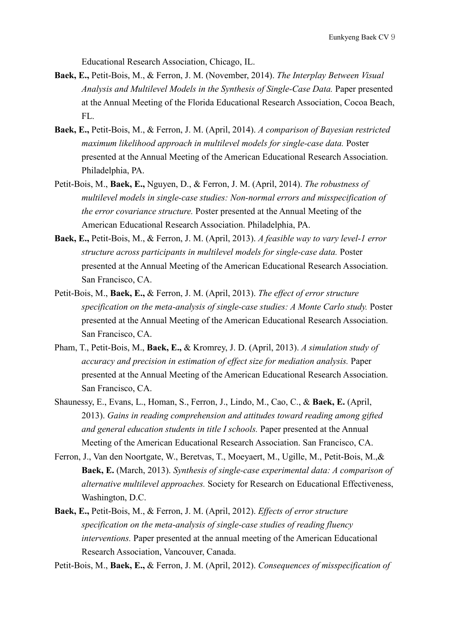Educational Research Association, Chicago, IL.

- **Baek, E.,** Petit-Bois, M., & Ferron, J. M. (November, 2014). *The Interplay Between Visual Analysis and Multilevel Models in the Synthesis of Single-Case Data.* Paper presented at the Annual Meeting of the Florida Educational Research Association, Cocoa Beach, FL.
- **Baek, E.,** Petit-Bois, M., & Ferron, J. M. (April, 2014). *A comparison of Bayesian restricted maximum likelihood approach in multilevel models for single-case data.* Poster presented at the Annual Meeting of the American Educational Research Association. Philadelphia, PA.
- Petit-Bois, M., **Baek, E.,** Nguyen, D., & Ferron, J. M. (April, 2014). *The robustness of multilevel models in single-case studies: Non-normal errors and misspecification of the error covariance structure.* Poster presented at the Annual Meeting of the American Educational Research Association. Philadelphia, PA.
- **Baek, E.,** Petit-Bois, M., & Ferron, J. M. (April, 2013). *A feasible way to vary level-1 error structure across participants in multilevel models for single-case data.* Poster presented at the Annual Meeting of the American Educational Research Association. San Francisco, CA.
- Petit-Bois, M., **Baek, E.,** & Ferron, J. M. (April, 2013). *The effect of error structure specification on the meta-analysis of single-case studies: A Monte Carlo study.* Poster presented at the Annual Meeting of the American Educational Research Association. San Francisco, CA.
- Pham, T., Petit-Bois, M., **Baek, E.,** & Kromrey, J. D. (April, 2013). *A simulation study of accuracy and precision in estimation of effect size for mediation analysis.* Paper presented at the Annual Meeting of the American Educational Research Association. San Francisco, CA.
- Shaunessy, E., Evans, L., Homan, S., Ferron, J., Lindo, M., Cao, C., & **Baek, E.** (April, 2013). *Gains in reading comprehension and attitudes toward reading among gifted and general education students in title I schools.* Paper presented at the Annual Meeting of the American Educational Research Association. San Francisco, CA.
- Ferron, J., Van den Noortgate, W., Beretvas, T., Moeyaert, M., Ugille, M., Petit-Bois, M.,& **Baek, E.** (March, 2013). *Synthesis of single-case experimental data: A comparison of alternative multilevel approaches.* Society for Research on Educational Effectiveness, Washington, D.C.
- **Baek, E.,** Petit-Bois, M., & Ferron, J. M. (April, 2012). *Effects of error structure specification on the meta-analysis of single-case studies of reading fluency interventions.* Paper presented at the annual meeting of the American Educational Research Association, Vancouver, Canada.

Petit-Bois, M., **Baek, E.,** & Ferron, J. M. (April, 2012). *Consequences of misspecification of*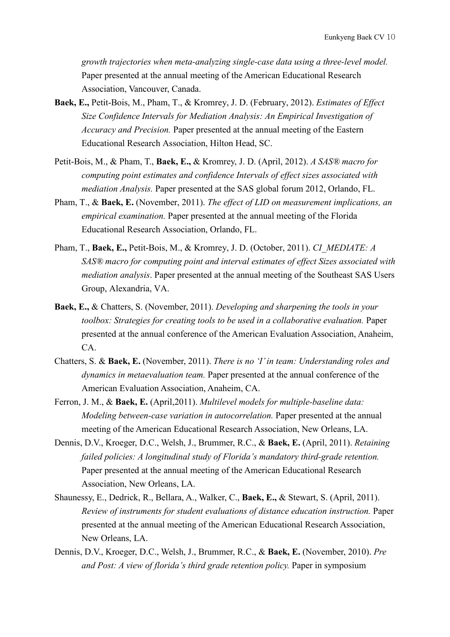*growth trajectories when meta-analyzing single-case data using a three-level model.* Paper presented at the annual meeting of the American Educational Research Association, Vancouver, Canada.

- **Baek, E.,** Petit-Bois, M., Pham, T., & Kromrey, J. D. (February, 2012). *Estimates of Effect Size Confidence Intervals for Mediation Analysis: An Empirical Investigation of Accuracy and Precision.* Paper presented at the annual meeting of the Eastern Educational Research Association, Hilton Head, SC.
- Petit-Bois, M., & Pham, T., **Baek, E.,** & Kromrey, J. D. (April, 2012). *A SAS® macro for computing point estimates and confidence Intervals of effect sizes associated with mediation Analysis.* Paper presented at the SAS global forum 2012, Orlando, FL.
- Pham, T., & **Baek, E.** (November, 2011). *The effect of LID on measurement implications, an empirical examination.* Paper presented at the annual meeting of the Florida Educational Research Association, Orlando, FL.
- Pham, T., **Baek, E.,** Petit-Bois, M., & Kromrey, J. D. (October, 2011). *CI\_MEDIATE: A SAS® macro for computing point and interval estimates of effect Sizes associated with mediation analysis*. Paper presented at the annual meeting of the Southeast SAS Users Group, Alexandria, VA.
- **Baek, E.,** & Chatters, S. (November, 2011). *Developing and sharpening the tools in your toolbox: Strategies for creating tools to be used in a collaborative evaluation.* Paper presented at the annual conference of the American Evaluation Association, Anaheim, CA.
- Chatters, S. & **Baek, E.** (November, 2011). *There is no 'I' in team: Understanding roles and dynamics in metaevaluation team.* Paper presented at the annual conference of the American Evaluation Association, Anaheim, CA.
- Ferron, J. M., & **Baek, E.** (April,2011). *Multilevel models for multiple-baseline data: Modeling between-case variation in autocorrelation.* Paper presented at the annual meeting of the American Educational Research Association, New Orleans, LA.
- Dennis, D.V., Kroeger, D.C., Welsh, J., Brummer, R.C., & **Baek, E.** (April, 2011). *Retaining failed policies: A longitudinal study of Florida's mandatory third-grade retention.*  Paper presented at the annual meeting of the American Educational Research Association, New Orleans, LA.
- Shaunessy, E., Dedrick, R., Bellara, A., Walker, C., **Baek, E.,** & Stewart, S. (April, 2011). *Review of instruments for student evaluations of distance education instruction.* Paper presented at the annual meeting of the American Educational Research Association, New Orleans, LA.
- Dennis, D.V., Kroeger, D.C., Welsh, J., Brummer, R.C., & **Baek, E.** (November, 2010). *Pre and Post: A view of florida's third grade retention policy.* Paper in symposium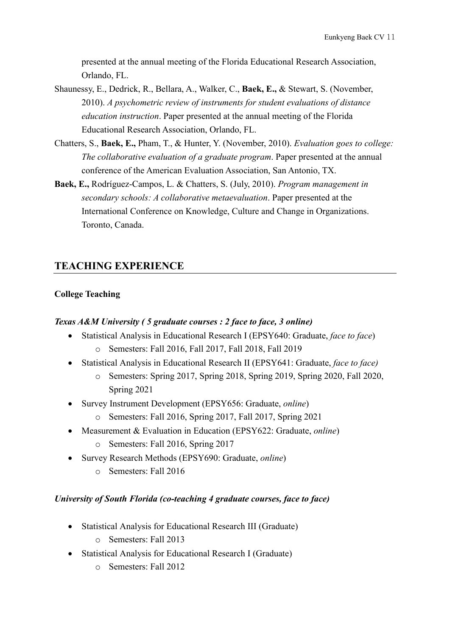presented at the annual meeting of the Florida Educational Research Association, Orlando, FL.

- Shaunessy, E., Dedrick, R., Bellara, A., Walker, C., **Baek, E.,** & Stewart, S. (November, 2010). *A psychometric review of instruments for student evaluations of distance education instruction*. Paper presented at the annual meeting of the Florida Educational Research Association, Orlando, FL.
- Chatters, S., **Baek, E.,** Pham, T., & Hunter, Y. (November, 2010). *Evaluation goes to college: The collaborative evaluation of a graduate program*. Paper presented at the annual conference of the American Evaluation Association, San Antonio, TX.
- **Baek, E.,** Rodríguez-Campos, L. & Chatters, S. (July, 2010). *Program management in secondary schools: A collaborative metaevaluation*. Paper presented at the International Conference on Knowledge, Culture and Change in Organizations. Toronto, Canada.

# **TEACHING EXPERIENCE**

### **College Teaching**

### *Texas A&M University ( 5 graduate courses : 2 face to face, 3 online)*

- Statistical Analysis in Educational Research I (EPSY640: Graduate, *face to face*) o Semesters: Fall 2016, Fall 2017, Fall 2018, Fall 2019
- Statistical Analysis in Educational Research II (EPSY641: Graduate, *face to face)*
	- o Semesters: Spring 2017, Spring 2018, Spring 2019, Spring 2020, Fall 2020, Spring 2021
- Survey Instrument Development (EPSY656: Graduate, *online*)
	- o Semesters: Fall 2016, Spring 2017, Fall 2017, Spring 2021
- Measurement & Evaluation in Education (EPSY622: Graduate, *online*)
	- o Semesters: Fall 2016, Spring 2017
- Survey Research Methods (EPSY690: Graduate, *online*)
	- o Semesters: Fall 2016

### *University of South Florida (co-teaching 4 graduate courses, face to face)*

- Statistical Analysis for Educational Research III (Graduate)
	- o Semesters: Fall 2013
- Statistical Analysis for Educational Research I (Graduate)
	- o Semesters: Fall 2012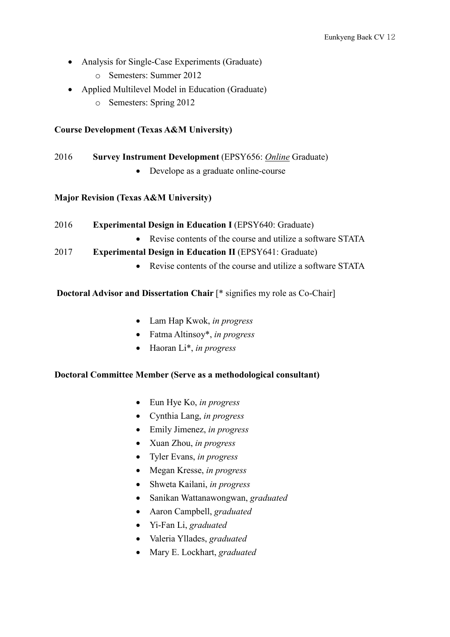- Analysis for Single-Case Experiments (Graduate)
	- o Semesters: Summer 2012
- Applied Multilevel Model in Education (Graduate)
	- o Semesters: Spring 2012

### **Course Development (Texas A&M University)**

### 2016 **Survey Instrument Development** (EPSY656: *Online* Graduate)

• Develope as a graduate online-course

### **Major Revision (Texas A&M University)**

- 2016 **Experimental Design in Education I** (EPSY640: Graduate)
	- Revise contents of the course and utilize a software STATA
- 2017 **Experimental Design in Education II** (EPSY641: Graduate)
	- Revise contents of the course and utilize a software STATA

#### **Doctoral Advisor and Dissertation Chair** [\* signifies my role as Co-Chair]

- Lam Hap Kwok, *in progress*
- Fatma Altinsoy\*, *in progress*
- Haoran Li\*, *in progress*

#### **Doctoral Committee Member (Serve as a methodological consultant)**

- Eun Hye Ko, *in progress*
- Cynthia Lang, *in progress*
- Emily Jimenez, *in progress*
- Xuan Zhou, *in progress*
- Tyler Evans, *in progress*
- Megan Kresse, *in progress*
- Shweta Kailani, *in progress*
- Sanikan Wattanawongwan, *graduated*
- Aaron Campbell, *graduated*
- Yi-Fan Li, *graduated*
- Valeria Yllades, *graduated*
- Mary E. Lockhart, *graduated*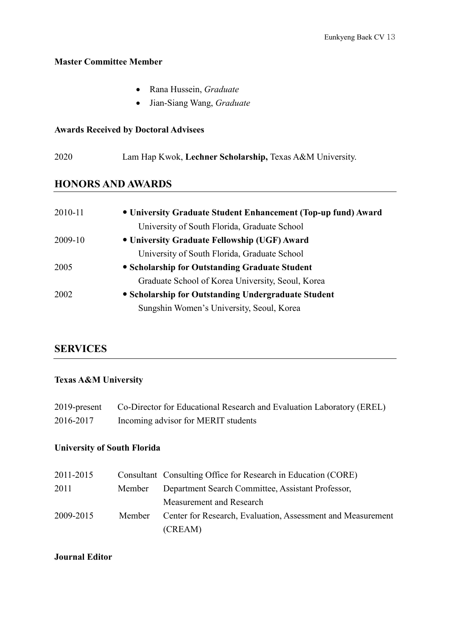#### **Master Committee Member**

- Rana Hussein, *Graduate*
- Jian-Siang Wang, *Graduate*

### **Awards Received by Doctoral Advisees**

2020 Lam Hap Kwok, **Lechner Scholarship,** Texas A&M University.

### **HONORS AND AWARDS**

| 2010-11 | • University Graduate Student Enhancement (Top-up fund) Award |
|---------|---------------------------------------------------------------|
|         | University of South Florida, Graduate School                  |
| 2009-10 | • University Graduate Fellowship (UGF) Award                  |
|         | University of South Florida, Graduate School                  |
| 2005    | • Scholarship for Outstanding Graduate Student                |
|         | Graduate School of Korea University, Seoul, Korea             |
| 2002    | • Scholarship for Outstanding Undergraduate Student           |
|         | Sungshin Women's University, Seoul, Korea                     |

# **SERVICES**

# **Texas A&M University**

| $2019$ -present | Co-Director for Educational Research and Evaluation Laboratory (EREL) |
|-----------------|-----------------------------------------------------------------------|
| 2016-2017       | Incoming advisor for MERIT students                                   |

# **University of South Florida**

| 2011-2015 |        | Consultant Consulting Office for Research in Education (CORE) |
|-----------|--------|---------------------------------------------------------------|
| 2011      | Member | Department Search Committee, Assistant Professor,             |
|           |        | Measurement and Research                                      |
| 2009-2015 | Member | Center for Research, Evaluation, Assessment and Measurement   |
|           |        | (CREAM)                                                       |

### **Journal Editor**